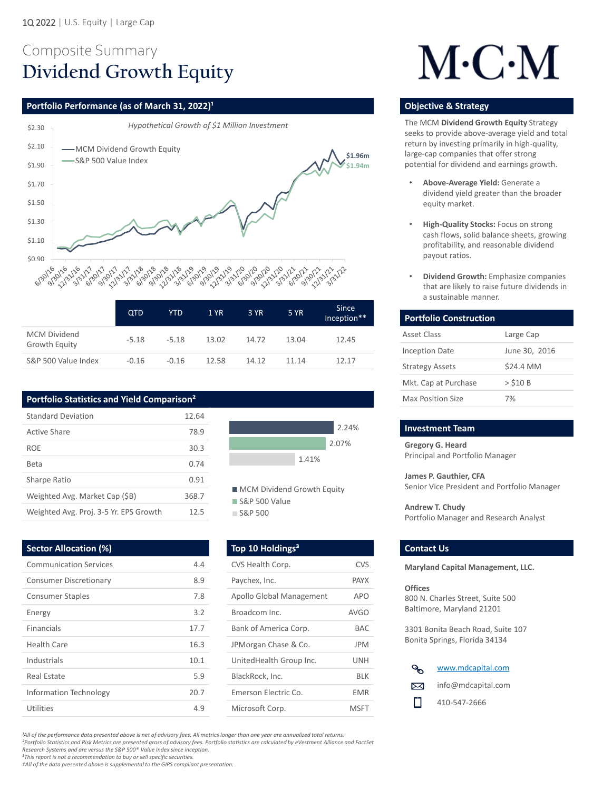## Composite Summary **Dividend Growth Equity**

### **Portfolio Performance (as of March 31, 2022)<sup>1</sup> <b>Discription of American Control of Construction Constrategy in the Strategy of Constrategy in the Strategy of Constrategy in the Strategy of Constration Construction Constr**

*²Portfolio Statistics and Risk Metrics are presented gross of advisory fees. Portfolio statistics are calculated by eVestment Alliance and FactSet* 

*Research Systems and are versus the S&P 500® Value Index since inception.*

*<sup>3</sup>This report is not a recommendation to buy or sell specific securities.* 

*†All of the data presented above is supplemental to the GIPS compliant presentation.*

|                                             | <b>QTD</b> | YTD     | 1 YR  | 3 YR  | <b>5 YR</b> | <b>Since</b><br>Inception** |
|---------------------------------------------|------------|---------|-------|-------|-------------|-----------------------------|
| <b>MCM Dividend</b><br><b>Growth Equity</b> | $-5.18$    | $-5.18$ | 13.02 | 14.72 | 13.04       | 12.45                       |
| S&P 500 Value Index                         | $-0.16$    | $-0.16$ | 12.58 | 14.12 | 11.14       | 12.17                       |

**Gregory G. Heard**  Principal and Portfolio Manager

**James P. Gauthier, CFA**  Senior Vice President and Portfolio Manager

**Andrew T. Chudy**  Portfolio Manager and Research Analyst

#### **Sector Allocation (%) Top 10 Holdings<sup>3</sup> Contact Us Contact Us**



The MCM **Dividend Growth Equity** Strategy seeks to provide above-average yield and total return by investing primarily in high-quality, large-cap companies that offer strong potential for dividend and earnings growth.

| <b>Portfolio Construction</b> |               |
|-------------------------------|---------------|
| <b>Asset Class</b>            | Large Cap     |
| <b>Inception Date</b>         | June 30, 2016 |
| <b>Strategy Assets</b>        | \$24.4 MM     |
| Mkt. Cap at Purchase          | $>$ \$10 B    |
| <b>Max Position Size</b>      | 7%            |

#### **Investment Team**

- **Above-Average Yield:** Generate a dividend yield greater than the broader equity market.
- **High-Quality Stocks:** Focus on strong cash flows, solid balance sheets, growing profitability, and reasonable dividend payout ratios.
- **Dividend Growth:** Emphasize companies that are likely to raise future dividends in a sustainable manner.

| <b>Communication Services</b> | 4.4  | CVS Health Corp.                | <b>CVS</b>  |
|-------------------------------|------|---------------------------------|-------------|
| <b>Consumer Discretionary</b> | 8.9  | Paychex, Inc.                   | <b>PAYX</b> |
| <b>Consumer Staples</b>       | 7.8  | <b>Apollo Global Management</b> | <b>APO</b>  |
| Energy                        | 3.2  | Broadcom Inc.                   | <b>AVGO</b> |
| <b>Financials</b>             | 17.7 | Bank of America Corp.           | <b>BAC</b>  |
| <b>Health Care</b>            | 16.3 | JPMorgan Chase & Co.            | <b>JPM</b>  |
| <b>Industrials</b>            | 10.1 | UnitedHealth Group Inc.         | <b>UNH</b>  |
| <b>Real Estate</b>            | 5.9  | BlackRock, Inc.                 | <b>BLK</b>  |
| <b>Information Technology</b> | 20.7 | Emerson Electric Co.            | <b>EMR</b>  |
| <b>Utilities</b>              | 4.9  | Microsoft Corp.                 | <b>MSFT</b> |



<sup>1</sup>All of the performance data presented above is net of advisory fees. All metrics longer than one year are annualized total returns.

**Maryland Capital Management, LLC.**

#### **Offices**

800 N. Charles Street, Suite 500 Baltimore, Maryland 21201

3301 Bonita Beach Road, Suite 107 Bonita Springs, Florida 34134

## **Portfolio Statistics and Yield Comparison²**

| <b>Standard Deviation</b>              | 12.64 |
|----------------------------------------|-------|
| <b>Active Share</b>                    | 78.9  |
| <b>ROE</b>                             | 30.3  |
| Beta                                   | 0.74  |
| <b>Sharpe Ratio</b>                    | 0.91  |
| Weighted Avg. Market Cap (\$B)         | 368.7 |
| Weighted Avg. Proj. 3-5 Yr. EPS Growth | 12.5  |



**MCM Dividend Growth Equity** 

S&P 500 Value

S&P 500

# $M\cdot C\cdot M$